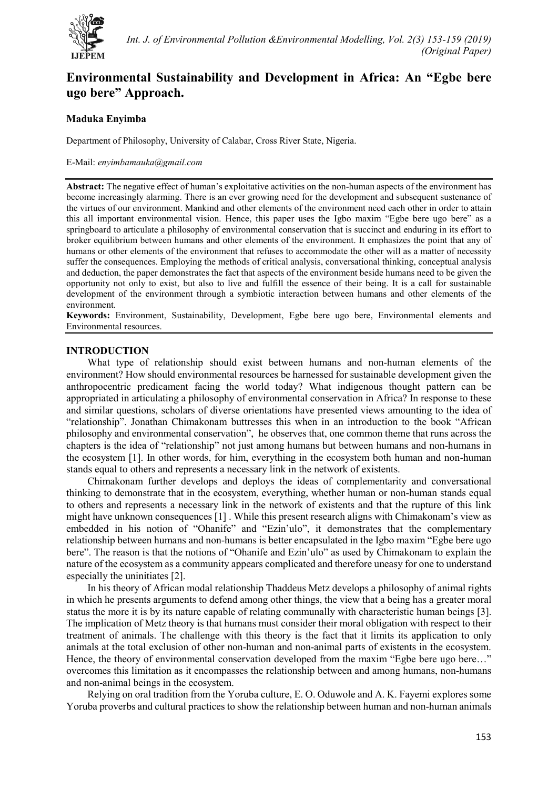

# **Environmental Sustainability and Development in Africa: An "Egbe bere ugo bere" Approach.**

## **Maduka Enyimba**

Department of Philosophy, University of Calabar, Cross River State, Nigeria.

#### E-Mail: *enyimbamauka@gmail.com*

**Abstract:** The negative effect of human's exploitative activities on the non-human aspects of the environment has become increasingly alarming. There is an ever growing need for the development and subsequent sustenance of the virtues of our environment. Mankind and other elements of the environment need each other in order to attain this all important environmental vision. Hence, this paper uses the Igbo maxim "Egbe bere ugo bere" as a springboard to articulate a philosophy of environmental conservation that is succinct and enduring in its effort to broker equilibrium between humans and other elements of the environment. It emphasizes the point that any of humans or other elements of the environment that refuses to accommodate the other will as a matter of necessity suffer the consequences. Employing the methods of critical analysis, conversational thinking, conceptual analysis and deduction, the paper demonstrates the fact that aspects of the environment beside humans need to be given the opportunity not only to exist, but also to live and fulfill the essence of their being. It is a call for sustainable development of the environment through a symbiotic interaction between humans and other elements of the environment.

**Keywords:** Environment, Sustainability, Development, Egbe bere ugo bere, Environmental elements and Environmental resources.

## **INTRODUCTION**

What type of relationship should exist between humans and non-human elements of the environment? How should environmental resources be harnessed for sustainable development given the anthropocentric predicament facing the world today? What indigenous thought pattern can be appropriated in articulating a philosophy of environmental conservation in Africa? In response to these and similar questions, scholars of diverse orientations have presented views amounting to the idea of "relationship". Jonathan Chimakonam buttresses this when in an introduction to the book "African philosophy and environmental conservation", he observes that, one common theme that runs across the chapters is the idea of "relationship" not just among humans but between humans and non-humans in the ecosystem [1]. In other words, for him, everything in the ecosystem both human and non-human stands equal to others and represents a necessary link in the network of existents.

Chimakonam further develops and deploys the ideas of complementarity and conversational thinking to demonstrate that in the ecosystem, everything, whether human or non-human stands equal to others and represents a necessary link in the network of existents and that the rupture of this link might have unknown consequences [1] . While this present research aligns with Chimakonam's view as embedded in his notion of "Ohanife" and "Ezin'ulo", it demonstrates that the complementary relationship between humans and non-humans is better encapsulated in the Igbo maxim "Egbe bere ugo bere". The reason is that the notions of "Ohanife and Ezin'ulo" as used by Chimakonam to explain the nature of the ecosystem as a community appears complicated and therefore uneasy for one to understand especially the uninitiates [2].

In his theory of African modal relationship Thaddeus Metz develops a philosophy of animal rights in which he presents arguments to defend among other things, the view that a being has a greater moral status the more it is by its nature capable of relating communally with characteristic human beings [3]. The implication of Metz theory is that humans must consider their moral obligation with respect to their treatment of animals. The challenge with this theory is the fact that it limits its application to only animals at the total exclusion of other non-human and non-animal parts of existents in the ecosystem. Hence, the theory of environmental conservation developed from the maxim "Egbe bere ugo bere..." overcomes this limitation as it encompasses the relationship between and among humans, non-humans and non-animal beings in the ecosystem.

Relying on oral tradition from the Yoruba culture, E. O. Oduwole and A. K. Fayemi explores some Yoruba proverbs and cultural practices to show the relationship between human and non-human animals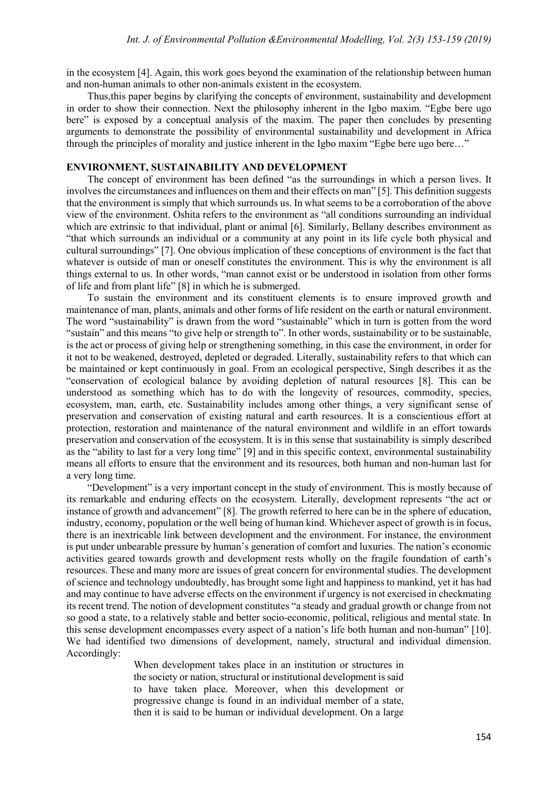in the ecosystem [4]. Again, this work goes beyond the examination of the relationship between human and non-human animals to other non-animals existent in the ecosystem.

Thus,this paper begins by clarifying the concepts of environment, sustainability and development in order to show their connection. Next the philosophy inherent in the Igbo maxim. "Egbe bere ugo bere" is exposed by a conceptual analysis of the maxim. The paper then concludes by presenting arguments to demonstrate the possibility of environmental sustainability and development in Africa through the principles of morality and justice inherent in the Igbo maxim "Egbe bere ugo bere…"

### **ENVIRONMENT, SUSTAINABILITY AND DEVELOPMENT**

The concept of environment has been defined "as the surroundings in which a person lives. It involves the circumstances and influences on them and their effects on man" [5]. This definition suggests that the environment is simply that which surrounds us. In what seems to be a corroboration of the above view of the environment. Oshita refers to the environment as "all conditions surrounding an individual which are extrinsic to that individual, plant or animal [6]. Similarly, Bellany describes environment as "that which surrounds an individual or a community at any point in its life cycle both physical and cultural surroundings" [7]. One obvious implication of these conceptions of environment is the fact that whatever is outside of man or oneself constitutes the environment. This is why the environment is all things external to us. In other words, "man cannot exist or be understood in isolation from other forms of life and from plant life" [8] in which he is submerged.

To sustain the environment and its constituent elements is to ensure improved growth and maintenance of man, plants, animals and other forms of life resident on the earth or natural environment. The word "sustainability" is drawn from the word "sustainable" which in turn is gotten from the word "sustain" and this means "to give help or strength to". In other words, sustainability or to be sustainable, is the act or process of giving help or strengthening something, in this case the environment, in order for it not to be weakened, destroyed, depleted or degraded. Literally, sustainability refers to that which can be maintained or kept continuously in goal. From an ecological perspective, Singh describes it as the "conservation of ecological balance by avoiding depletion of natural resources [8]. This can be understood as something which has to do with the longevity of resources, commodity, species, ecosystem, man, earth, etc. Sustainability includes among other things, a very significant sense of preservation and conservation of existing natural and earth resources. It is a conscientious effort at protection, restoration and maintenance of the natural environment and wildlife in an effort towards preservation and conservation of the ecosystem. It is in this sense that sustainability is simply described as the "ability to last for a very long time" [9] and in this specific context, environmental sustainability means all efforts to ensure that the environment and its resources, both human and non-human last for a very long time.

"Development" is a very important concept in the study of environment. This is mostly because of its remarkable and enduring effects on the ecosystem. Literally, development represents "the act or instance of growth and advancement" [8]. The growth referred to here can be in the sphere of education, industry, economy, population or the well being of human kind. Whichever aspect of growth is in focus, there is an inextricable link between development and the environment. For instance, the environment is put under unbearable pressure by human's generation of comfort and luxuries. The nation's economic activities geared towards growth and development rests wholly on the fragile foundation of earth's resources. These and many more are issues of great concern for environmental studies. The development of science and technology undoubtedly, has brought some light and happiness to mankind, yet it has had and may continue to have adverse effects on the environment if urgency is not exercised in checkmating its recent trend. The notion of development constitutes "a steady and gradual growth or change from not so good a state, to a relatively stable and better socio-economic, political, religious and mental state. In this sense development encompasses every aspect of a nation's life both human and non-human" [10]. We had identified two dimensions of development, namely, structural and individual dimension. Accordingly:

> When development takes place in an institution or structures in the society or nation, structural or institutional development is said to have taken place. Moreover, when this development or progressive change is found in an individual member of a state, then it is said to be human or individual development. On a large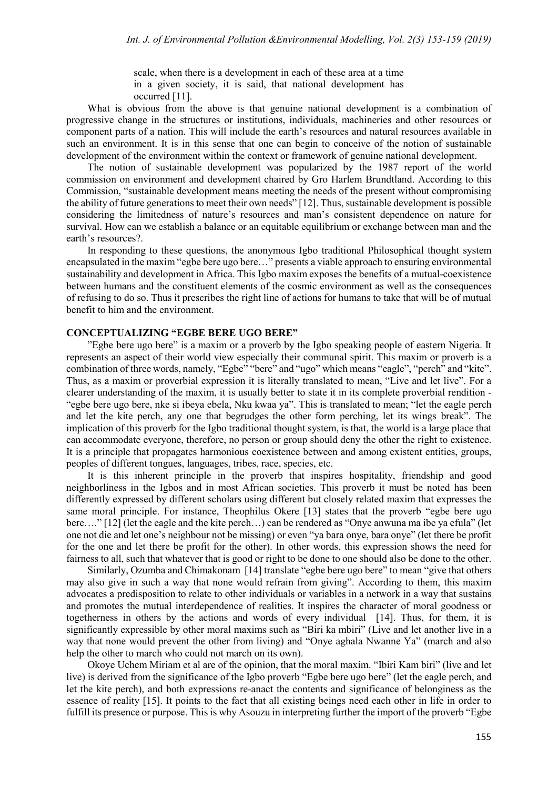scale, when there is a development in each of these area at a time in a given society, it is said, that national development has occurred [11].

What is obvious from the above is that genuine national development is a combination of progressive change in the structures or institutions, individuals, machineries and other resources or component parts of a nation. This will include the earth's resources and natural resources available in such an environment. It is in this sense that one can begin to conceive of the notion of sustainable development of the environment within the context or framework of genuine national development.

The notion of sustainable development was popularized by the 1987 report of the world commission on environment and development chaired by Gro Harlem Brundtland. According to this Commission, "sustainable development means meeting the needs of the present without compromising the ability of future generations to meet their own needs" [12]. Thus, sustainable development is possible considering the limitedness of nature's resources and man's consistent dependence on nature for survival. How can we establish a balance or an equitable equilibrium or exchange between man and the earth's resources?.

In responding to these questions, the anonymous Igbo traditional Philosophical thought system encapsulated in the maxim "egbe bere ugo bere…" presents a viable approach to ensuring environmental sustainability and development in Africa. This Igbo maxim exposes the benefits of a mutual-coexistence between humans and the constituent elements of the cosmic environment as well as the consequences of refusing to do so. Thus it prescribes the right line of actions for humans to take that will be of mutual benefit to him and the environment.

## **CONCEPTUALIZING "EGBE BERE UGO BERE"**

"Egbe bere ugo bere" is a maxim or a proverb by the Igbo speaking people of eastern Nigeria. It represents an aspect of their world view especially their communal spirit. This maxim or proverb is a combination of three words, namely, "Egbe" "bere" and "ugo" which means "eagle", "perch" and "kite". Thus, as a maxim or proverbial expression it is literally translated to mean, "Live and let live". For a clearer understanding of the maxim, it is usually better to state it in its complete proverbial rendition - "egbe bere ugo bere, nke si ibeya ebela, Nku kwaa ya". This is translated to mean; "let the eagle perch and let the kite perch, any one that begrudges the other form perching, let its wings break". The implication of this proverb for the Igbo traditional thought system, is that, the world is a large place that can accommodate everyone, therefore, no person or group should deny the other the right to existence. It is a principle that propagates harmonious coexistence between and among existent entities, groups, peoples of different tongues, languages, tribes, race, species, etc.

It is this inherent principle in the proverb that inspires hospitality, friendship and good neighborliness in the Igbos and in most African societies. This proverb it must be noted has been differently expressed by different scholars using different but closely related maxim that expresses the same moral principle. For instance, Theophilus Okere [13] states that the proverb "egbe bere ugo bere…." [12] (let the eagle and the kite perch…) can be rendered as "Onye anwuna ma ibe ya efula" (let one not die and let one's neighbour not be missing) or even "ya bara onye, bara onye" (let there be profit for the one and let there be profit for the other). In other words, this expression shows the need for fairness to all, such that whatever that is good or right to be done to one should also be done to the other.

Similarly, Ozumba and Chimakonam [14] translate "egbe bere ugo bere" to mean "give that others may also give in such a way that none would refrain from giving". According to them, this maxim advocates a predisposition to relate to other individuals or variables in a network in a way that sustains and promotes the mutual interdependence of realities. It inspires the character of moral goodness or togetherness in others by the actions and words of every individual [14]. Thus, for them, it is significantly expressible by other moral maxims such as "Biri ka mbiri" (Live and let another live in a way that none would prevent the other from living) and "Onye aghala Nwanne Ya" (march and also help the other to march who could not march on its own).

Okoye Uchem Miriam et al are of the opinion, that the moral maxim. "Ibiri Kam biri" (live and let live) is derived from the significance of the Igbo proverb "Egbe bere ugo bere" (let the eagle perch, and let the kite perch), and both expressions re-anact the contents and significance of belonginess as the essence of reality [15]. It points to the fact that all existing beings need each other in life in order to fulfill its presence or purpose. This is why Asouzu in interpreting further the import of the proverb "Egbe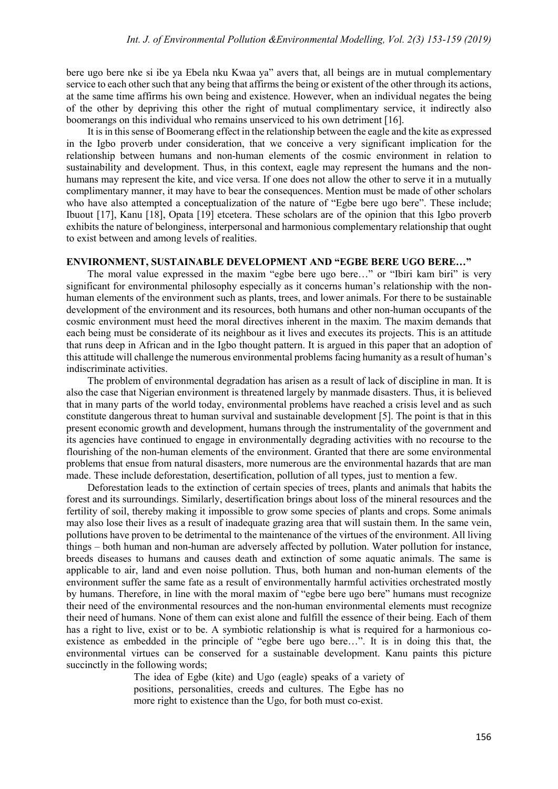bere ugo bere nke si ibe ya Ebela nku Kwaa ya" avers that, all beings are in mutual complementary service to each other such that any being that affirms the being or existent of the other through its actions, at the same time affirms his own being and existence. However, when an individual negates the being of the other by depriving this other the right of mutual complimentary service, it indirectly also boomerangs on this individual who remains unserviced to his own detriment [16].

It is in this sense of Boomerang effect in the relationship between the eagle and the kite as expressed in the Igbo proverb under consideration, that we conceive a very significant implication for the relationship between humans and non-human elements of the cosmic environment in relation to sustainability and development. Thus, in this context, eagle may represent the humans and the nonhumans may represent the kite, and vice versa. If one does not allow the other to serve it in a mutually complimentary manner, it may have to bear the consequences. Mention must be made of other scholars who have also attempted a conceptualization of the nature of "Egbe bere ugo bere". These include; Ibuout [17], Kanu [18], Opata [19] etcetera. These scholars are of the opinion that this Igbo proverb exhibits the nature of belonginess, interpersonal and harmonious complementary relationship that ought to exist between and among levels of realities.

#### **ENVIRONMENT, SUSTAINABLE DEVELOPMENT AND "EGBE BERE UGO BERE…"**

The moral value expressed in the maxim "egbe bere ugo bere…" or "Ibiri kam biri" is very significant for environmental philosophy especially as it concerns human's relationship with the nonhuman elements of the environment such as plants, trees, and lower animals. For there to be sustainable development of the environment and its resources, both humans and other non-human occupants of the cosmic environment must heed the moral directives inherent in the maxim. The maxim demands that each being must be considerate of its neighbour as it lives and executes its projects. This is an attitude that runs deep in African and in the Igbo thought pattern. It is argued in this paper that an adoption of this attitude will challenge the numerous environmental problems facing humanity as a result of human's indiscriminate activities.

The problem of environmental degradation has arisen as a result of lack of discipline in man. It is also the case that Nigerian environment is threatened largely by manmade disasters. Thus, it is believed that in many parts of the world today, environmental problems have reached a crisis level and as such constitute dangerous threat to human survival and sustainable development [5]. The point is that in this present economic growth and development, humans through the instrumentality of the government and its agencies have continued to engage in environmentally degrading activities with no recourse to the flourishing of the non-human elements of the environment. Granted that there are some environmental problems that ensue from natural disasters, more numerous are the environmental hazards that are man made. These include deforestation, desertification, pollution of all types, just to mention a few.

Deforestation leads to the extinction of certain species of trees, plants and animals that habits the forest and its surroundings. Similarly, desertification brings about loss of the mineral resources and the fertility of soil, thereby making it impossible to grow some species of plants and crops. Some animals may also lose their lives as a result of inadequate grazing area that will sustain them. In the same vein, pollutions have proven to be detrimental to the maintenance of the virtues of the environment. All living things – both human and non-human are adversely affected by pollution. Water pollution for instance, breeds diseases to humans and causes death and extinction of some aquatic animals. The same is applicable to air, land and even noise pollution. Thus, both human and non-human elements of the environment suffer the same fate as a result of environmentally harmful activities orchestrated mostly by humans. Therefore, in line with the moral maxim of "egbe bere ugo bere" humans must recognize their need of the environmental resources and the non-human environmental elements must recognize their need of humans. None of them can exist alone and fulfill the essence of their being. Each of them has a right to live, exist or to be. A symbiotic relationship is what is required for a harmonious coexistence as embedded in the principle of "egbe bere ugo bere…". It is in doing this that, the environmental virtues can be conserved for a sustainable development. Kanu paints this picture succinctly in the following words;

> The idea of Egbe (kite) and Ugo (eagle) speaks of a variety of positions, personalities, creeds and cultures. The Egbe has no more right to existence than the Ugo, for both must co-exist.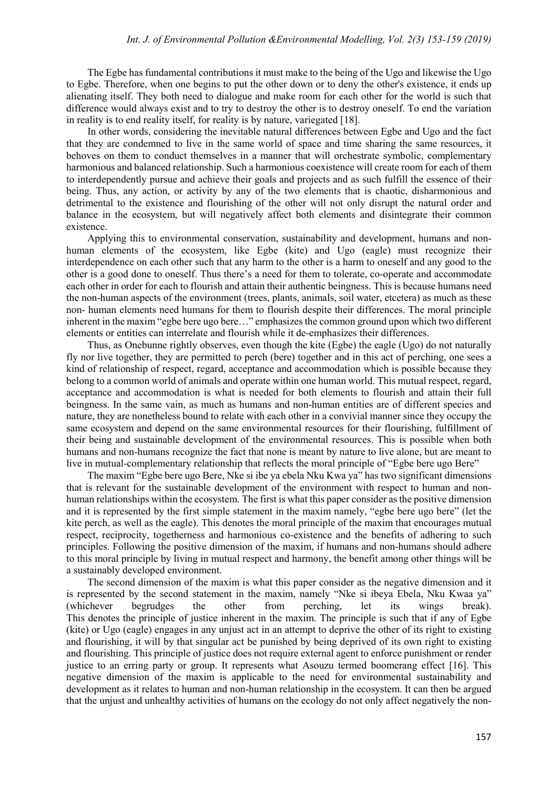The Egbe has fundamental contributions it must make to the being of the Ugo and likewise the Ugo to Egbe. Therefore, when one begins to put the other down or to deny the other's existence, it ends up alienating itself. They both need to dialogue and make room for each other for the world is such that difference would always exist and to try to destroy the other is to destroy oneself. To end the variation in reality is to end reality itself, for reality is by nature, variegated [18].

In other words, considering the inevitable natural differences between Egbe and Ugo and the fact that they are condemned to live in the same world of space and time sharing the same resources, it behoves on them to conduct themselves in a manner that will orchestrate symbolic, complementary harmonious and balanced relationship. Such a harmonious coexistence will create room for each of them to interdependently pursue and achieve their goals and projects and as such fulfill the essence of their being. Thus, any action, or activity by any of the two elements that is chaotic, disharmonious and detrimental to the existence and flourishing of the other will not only disrupt the natural order and balance in the ecosystem, but will negatively affect both elements and disintegrate their common existence.

Applying this to environmental conservation, sustainability and development, humans and nonhuman elements of the ecosystem, like Egbe (kite) and Ugo (eagle) must recognize their interdependence on each other such that any harm to the other is a harm to oneself and any good to the other is a good done to oneself. Thus there's a need for them to tolerate, co-operate and accommodate each other in order for each to flourish and attain their authentic beingness. This is because humans need the non-human aspects of the environment (trees, plants, animals, soil water, etcetera) as much as these non- human elements need humans for them to flourish despite their differences. The moral principle inherent in the maxim "egbe bere ugo bere…" emphasizes the common ground upon which two different elements or entities can interrelate and flourish while it de-emphasizes their differences.

Thus, as Onebunne rightly observes, even though the kite (Egbe) the eagle (Ugo) do not naturally fly nor live together, they are permitted to perch (bere) together and in this act of perching, one sees a kind of relationship of respect, regard, acceptance and accommodation which is possible because they belong to a common world of animals and operate within one human world. This mutual respect, regard, acceptance and accommodation is what is needed for both elements to flourish and attain their full beingness. In the same vain, as much as humans and non-human entities are of different species and nature, they are nonetheless bound to relate with each other in a convivial manner since they occupy the same ecosystem and depend on the same environmental resources for their flourishing, fulfillment of their being and sustainable development of the environmental resources. This is possible when both humans and non-humans recognize the fact that none is meant by nature to live alone, but are meant to live in mutual-complementary relationship that reflects the moral principle of "Egbe bere ugo Bere"

The maxim "Egbe bere ugo Bere, Nke si ibe ya ebela Nku Kwa ya" has two significant dimensions that is relevant for the sustainable development of the environment with respect to human and nonhuman relationships within the ecosystem. The first is what this paper consider as the positive dimension and it is represented by the first simple statement in the maxim namely, "egbe bere ugo bere" (let the kite perch, as well as the eagle). This denotes the moral principle of the maxim that encourages mutual respect, reciprocity, togetherness and harmonious co-existence and the benefits of adhering to such principles. Following the positive dimension of the maxim, if humans and non-humans should adhere to this moral principle by living in mutual respect and harmony, the benefit among other things will be a sustainably developed environment.

The second dimension of the maxim is what this paper consider as the negative dimension and it is represented by the second statement in the maxim, namely "Nke si ibeya Ebela, Nku Kwaa ya" (whichever begrudges the other from perching, let its wings break). This denotes the principle of justice inherent in the maxim. The principle is such that if any of Egbe (kite) or Ugo (eagle) engages in any unjust act in an attempt to deprive the other of its right to existing and flourishing, it will by that singular act be punished by being deprived of its own right to existing and flourishing. This principle of justice does not require external agent to enforce punishment or render justice to an erring party or group. It represents what Asouzu termed boomerang effect [16]. This negative dimension of the maxim is applicable to the need for environmental sustainability and development as it relates to human and non-human relationship in the ecosystem. It can then be argued that the unjust and unhealthy activities of humans on the ecology do not only affect negatively the non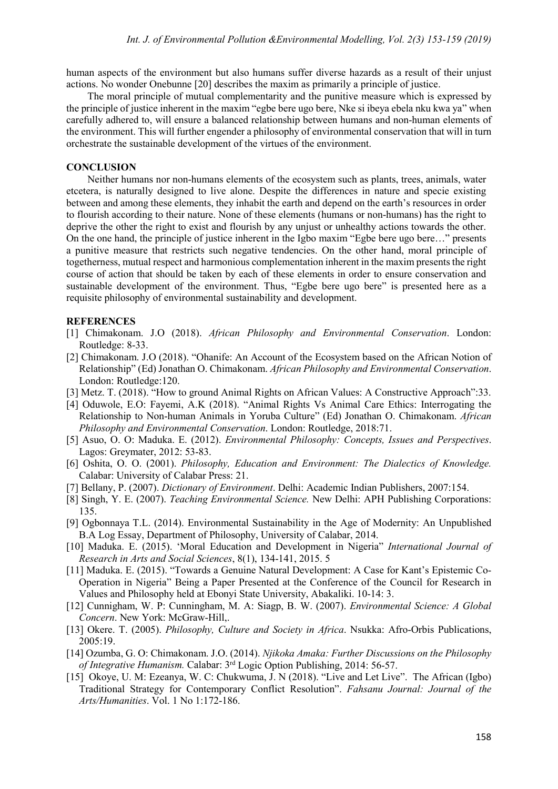human aspects of the environment but also humans suffer diverse hazards as a result of their unjust actions. No wonder Onebunne [20] describes the maxim as primarily a principle of justice.

The moral principle of mutual complementarity and the punitive measure which is expressed by the principle of justice inherent in the maxim "egbe bere ugo bere, Nke si ibeya ebela nku kwa ya" when carefully adhered to, will ensure a balanced relationship between humans and non-human elements of the environment. This will further engender a philosophy of environmental conservation that will in turn orchestrate the sustainable development of the virtues of the environment.

#### **CONCLUSION**

Neither humans nor non-humans elements of the ecosystem such as plants, trees, animals, water etcetera, is naturally designed to live alone. Despite the differences in nature and specie existing between and among these elements, they inhabit the earth and depend on the earth's resources in order to flourish according to their nature. None of these elements (humans or non-humans) has the right to deprive the other the right to exist and flourish by any unjust or unhealthy actions towards the other. On the one hand, the principle of justice inherent in the Igbo maxim "Egbe bere ugo bere…" presents a punitive measure that restricts such negative tendencies. On the other hand, moral principle of togetherness, mutual respect and harmonious complementation inherent in the maxim presents the right course of action that should be taken by each of these elements in order to ensure conservation and sustainable development of the environment. Thus, "Egbe bere ugo bere" is presented here as a requisite philosophy of environmental sustainability and development.

### **REFERENCES**

- [1] Chimakonam. J.O (2018). *African Philosophy and Environmental Conservation*. London: Routledge: 8-33.
- [2] Chimakonam. J.O (2018). "Ohanife: An Account of the Ecosystem based on the African Notion of Relationship" (Ed) Jonathan O. Chimakonam. *African Philosophy and Environmental Conservation*. London: Routledge:120.
- [3] Metz. T. (2018). "How to ground Animal Rights on African Values: A Constructive Approach":33.
- [4] Oduwole, E.O: Fayemi, A.K (2018). "Animal Rights Vs Animal Care Ethics: Interrogating the Relationship to Non-human Animals in Yoruba Culture" (Ed) Jonathan O. Chimakonam. *African Philosophy and Environmental Conservation*. London: Routledge, 2018:71.
- [5] Asuo, O. O: Maduka. E. (2012). *Environmental Philosophy: Concepts, Issues and Perspectives*. Lagos: Greymater, 2012: 53-83.
- [6] Oshita, O. O. (2001). *Philosophy, Education and Environment: The Dialectics of Knowledge.* Calabar: University of Calabar Press: 21.
- [7] Bellany, P. (2007). *Dictionary of Environment*. Delhi: Academic Indian Publishers, 2007:154.
- [8] Singh, Y. E. (2007). *Teaching Environmental Science.* New Delhi: APH Publishing Corporations: 135.
- [9] Ogbonnaya T.L. (2014). Environmental Sustainability in the Age of Modernity: An Unpublished B.A Log Essay, Department of Philosophy, University of Calabar, 2014.
- [10] Maduka. E. (2015). 'Moral Education and Development in Nigeria" *International Journal of Research in Arts and Social Sciences*, 8(1), 134-141, 2015. 5
- [11] Maduka. E. (2015). "Towards a Genuine Natural Development: A Case for Kant's Epistemic Co-Operation in Nigeria" Being a Paper Presented at the Conference of the Council for Research in Values and Philosophy held at Ebonyi State University, Abakaliki. 10-14: 3.
- [12] Cunnigham, W. P: Cunningham, M. A: Siagp, B. W. (2007). *Environmental Science: A Global Concern*. New York: McGraw-Hill,.
- [13] Okere. T. (2005). *Philosophy, Culture and Society in Africa*. Nsukka: Afro-Orbis Publications, 2005:19.
- [14] Ozumba, G. O: Chimakonam. J.O. (2014). *Njikoka Amaka: Further Discussions on the Philosophy of Integrative Humanism.* Calabar: 3rd Logic Option Publishing, 2014: 56-57.
- [15] Okoye, U. M: Ezeanya, W. C: Chukwuma, J. N (2018). "Live and Let Live". The African (Igbo) Traditional Strategy for Contemporary Conflict Resolution". *Fahsanu Journal: Journal of the Arts/Humanities*. Vol. 1 No 1:172-186.